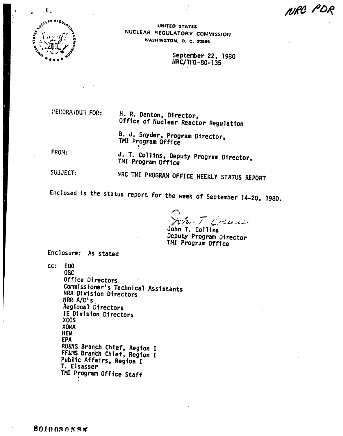

UNITED STATES NUCLEAR REGULATORY COMMISSION WASHINGTON, D. C. 20555

> September 22, 1980 HRC/THI-80-135

HEMORAHDUH FOR:

### H. R. Denton, Director, Office of Nuclear Reactor Regulation

B. J. Snyder, Program Director, TMI Program Office

FROM:

 $\epsilon$ 

J. T. Collins, Deputy Program Director, TMI Program Office

SUBJECT:

NRC THI PROGRAM OFFICE WEEKLY STATUS REPORT

Enclosed is the status report for the week of September 14-20, 1980.

 $272.777$ ست نار میشه به

John T. Collins Deputy Program Director TMI Program Office

Enclosure: As stated

cc: EDO

**OGC** Office Directors Commissioner's Technical Assistants NRR Division Directors NRR A/D's Regional Directors IE Division Directors XOOS **ANOX HEW EPA** RO&NS Branch Chief, Region I FF&MS Branch Chief, Region I Public Affairs, Region I T. Elsasser TMI Program Office Staff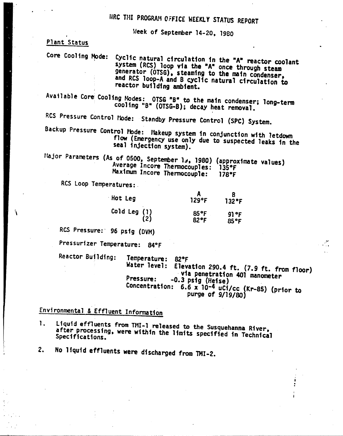# HRC THI PROGRAM OFFICE WEEKLY STATUS REPORT

Week of September 14-20, 1980

Plant Status

Core Cooling Mode: Cyclic natural circulation in the "A" reactor coolant system (RCS) loop via the "A" once through steam generator (OTSG), steaming to the main condenser. and RCS loop-A and B cyclic natural circulation to reactor building ambient.

Available Core Cooling Modes: OTSG "B" to the main condenser; long-term cooling "B" (OTSG-B); decay heat removal.

RCS Pressure Control Mode: Standby Pressure Control (SPC) System.

Backup Pressure Control Mode: Makeup system in conjunction with letdown flow (Emergency use only due to suspected leaks in the seal injection system).

Major Parameters (As of 0500, September 13, 1980) (approximate values) Average Incore Thermocouples: 135°F Maximum Incore Thermocouple:  $178°F$ 

RCS Loop Temperatures:

| Hot Leg               | $129$ °F               | $132$ °F     |
|-----------------------|------------------------|--------------|
| Cold Leg $(1)$<br>(2) | $85^{\circ}$ F<br>82°F | 91°F<br>85°F |

RCS Pressure: 96 psig (DVM)

Pressurizer Temperature: 84°F

Reactor Building:

Temperature: 82°F Water level: Elevation 290.4 ft. (7.9 ft. from floor) via penetration 401 manometer Pressure: -0.3 psig (Heise) Concentration: 6.6 x 10-4 uCi/cc (Kr-85) (prior to purge of 9/19/80)

## Environmental & Effluent Information

Liquid effluents from TMI-1 released to the Susquehanna River, 1. after processing, were within the limits specified in Technical Specifications.

No liquid effluents were discharged from TMI-2.  $2.$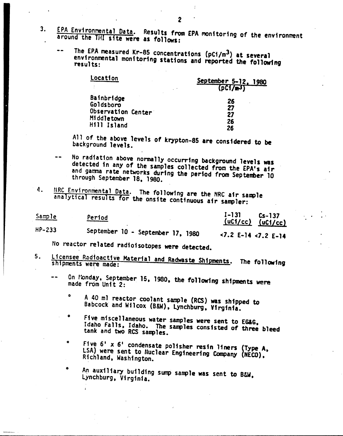- 3. EPA Environmental Data. Results from EPA monitoring of the environment around the fHI sHe were as follows:
	- The EPA measured Kr-85 concentrations (pCi/m<sup>3</sup>) at several environmental monitoring stations and reported the following

| Location           | September 5-12, 1980<br>(DCI/mJ) |
|--------------------|----------------------------------|
| Bainbridge         | 26                               |
| Goldsboro          | 27                               |
| Observation Center | 27                               |
| Middletown         | 26                               |
| Hill Island        | 26                               |

All of the above levels of krypton-85 are considered to be background levels.

- No radiation above normally occurring background levels was detected in any of the samples collected from the EPA's air and gamma rate networks during the period from September 10 through September 18, 1980.
- 4. HRC Environmental Data. The following are the NRC air sample analytical results for the ons1te continuous air sampler:

Sample HP-233 Period September 10 - September 17, 1980 1-131 Cs-137  $(uC1/cc)$   $(uC1/cc)$ <7.2 £-14 <7.2 E-14

tlo reactor related radioisotopes were detected.

o

- 5. Licensee Radioactive Material and Radwaste Shipments. The following
	- On Monday. September 15, 1980, the following shipments were
		- o A 40 ml reactor coolant sample (RCS) was shipped to Babcock and Wilcox (BW), Lynchburg, Virginia.
		- o Five miscellaneous water samples were sent to EGlG, Idaho Falls, Idaho. The samples consisted of three bleed tank and two RCS samples.
		- o Five 6' x 6' condensate polisher resin liners (Type A, LSA) were sent to Nuclear Engineering Company (NECO),

An auxiliary building sump sample was sent to B&W, Lynchburg, Virginia.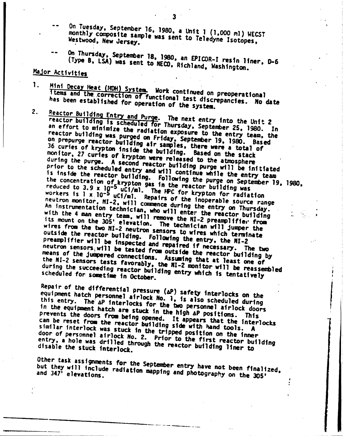- On Tuesday, September 16, 1980, a Unit 1 (1,000 ml) WECST monthly composite sample was sent to Teledyne Isotopes, Westwood, New Jersey.
- On Thursday, September 18, 1980, an EPICOR-I resin liner, D-6 (Type B, LSA) was sent to NECO. Richland, Washington.

## Major Activities

- 1. Mini Decay Heat (MDH) System. Work continued on preoperational f temS and £hi, .correction orfunctfonal test dfscrepancies. *Ho* date has been established for operation of the system
- 2. Reactor Building Entry and Purge. The next entry into the Unit 2 reactor building is scheduled for Thursday. September 25, 1980. In an effort to minimize the radiation exposure to the entry team, the reactor building was purged on Friday, September 19, 1980. Based on prepurge reactor building air samples, there were a total of 36 curies of krypton inside the building. Based on the stack monftor. 21 curies of krypton were released to the atmosphere during the purge. A second reactor building purge will be initiated prior to the scheduled entry and will continue while the entry team is inside the reactor building. Following the purge on September 10, 1990. the concentration of krypton gas in the reactor building was the concentration of krypton gas in the reactor building was<br>reduced to 3.9 x 10<sup>-5</sup> uCi/ml. The PPC for krypton for radiation workers is  $1 \times 10^{-5}$  uCf/ml. Repairs of the inoperable source range neutron monitor. NI-2. will commence during the entry on Thursday. An instrumentation technician, who will enter the reactor building with the 4 man entry team, will remove the NI-2 preamplifier from its mount on the 305' elevation. The technician will jumper the<br>wires from the two NI-2 neutron sensors to wires which terminate<br>outside the reactor building. Following the entry, the NI-2 wires from the two NI-2 neutron sensors to wires which terminate outsfde the reactor bufldfng. FOllowfng the entry. the 111-2 preampiiffer will be inspected and repaired if necessary. The two figures neutron sensors will be tested from outside the reactor building by means of the jumpered connections. Assuming that at least one of the NI-2 sensors tests favorably. the NI-2 monitor will be reasonable during the succeeding reactor building entry which is tentative<br>scheduled for sometime in October.

Repair of the differential pressure  $(\Delta P)$  safety interlocks on the equipment hatch personnel airlock No. 1, is also scheduled during this entry. The aP interlocks for the big personnel airlock doors in the equipment hatch are stuck in the high AP positions. This prevents the doors from being opened. It appears that the interlocks can be reset from the reactor building side with hand tools. A similar interlock was stuck in the tripped position on the inner door of personnel airlock No. 2. Prior to the first reactor building<br>entry, a hole was drilled through the reactor building liner to<br>disable the stuck interlock entry, a hole was drilled through the reactor building liner to

 $\ddot{\hspace{1mm}}$ 

Other task assignments for the September entry have not been finalized. but they will include radiation mapping and photography on the 305'

------------------\_.- --------\_ .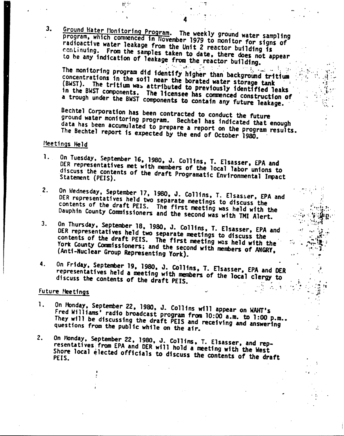Ground Hater Honitoring Program. The weekly ground water sampling program, which commenced in November 1979 to monitor for signs of radioactive water leakage from the Unit 2 reactor building is continuing. From the samples taken to date, there does not appear to be any indication of leakage from the reactor building.

 $\label{eq:2} \mathcal{H}^{\mathcal{A}}(\mathcal{A},\mathcal{C})=\mathcal{H}^{\mathcal{A}}(\mathcal{A},\mathcal{C})\otimes\mathcal{L}^{\mathcal{A}}(\mathcal{C}).$ The monitoring program did identify higher than background tritium concentrations in the soil near the borated water storage tank (BWST). The tritium was attributed to previously identified leaks in the BWST components. The licensee has commenced construction of a trough under the BWST components to contain any future leakage.

Bechtel Corporation has been contracted to conduct the future ground water monitoring program. Bechtel has indicated that enough data has been accumulated to prepare a report on the program results. The Bechtel report is expected by the end of October 1980.

### Meetings Held

 $3.$ 

- On Tuesday, September 16, 1980, J. Collins, T. Elsasser, EPA and 1. DER representatives met with members of the local labor unions to discuss the contents of the draft Programatic Environmental Impact
- On Wednesday, September 17, 1980, J. Collins, T. Elsasser, EPA and  $2<sub>1</sub>$ DER representatives held two separate meetings to discuss the contents of the draft PEIS. The first meeting was held with the Dauphin County Commissioners and the second was with TMI Alert.
- On Thursday, September 18, 1980, J. Collins, T. Elsasser, EPA and  $3.$ DER representatives held two separate meetings to discuss the contents of the draft PEIS. The first meeting was held with the York County Commissioners; and the second with members of ANGRY, (Anti-Nuclear Group Representing York).
- On Friday, September 19, 1980, J. Collins, T. Elsasser, EPA and DER 4. representatives held a meeting with members of the local clergy to discuss the contents of the draft PEIS.

#### Future Meetings

- 1. On Monday, September 22, 1980, J. Collins will appear on WAHT's Fred Williams' radio broadcast program from 10:00 a.m. to 1:00 p.m.. They will be discussing the draft PEIS and receiving and answering questions from the public while on the air.
- On Monday, September 22, 1980, J. Collins, T. Elsasser, and rep- $2.$ resentatives from EPA and DER will hold a meeting with the West Shore local elected officials to discuss the contents of the draft